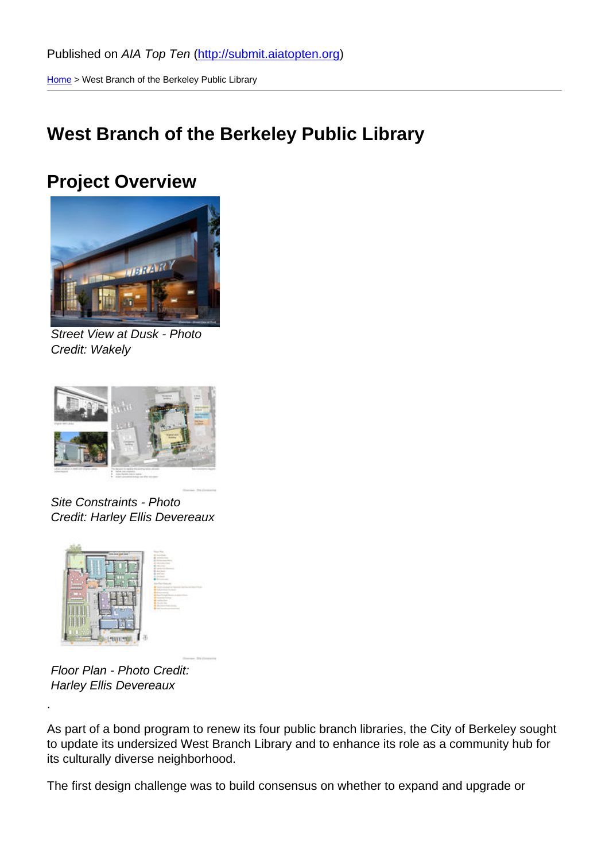Home > West Branch of the Berkeley Public Library

### [We](http://submit.aiatopten.org/)st Branch of the Berkeley Public Library

#### Project Overview

Street View at Dusk - Photo Credit: Wakely

Site Constraints - Photo Credit: Harley Ellis Devereaux

Floor Plan - Photo Credit: Harley Ellis Devereaux

.

As part of a bond program to renew its four public branch libraries, the City of Berkeley sought to update its undersized West Branch Library and to enhance its role as a community hub for its culturally diverse neighborhood.

The first design challenge was to build consensus on whether to expand and upgrade or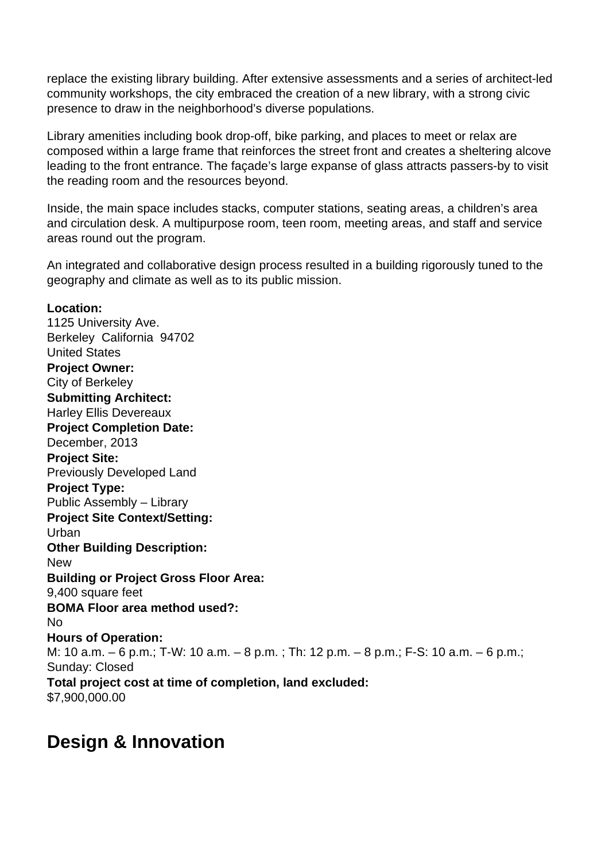replace the existing library building. After extensive assessments and a series of architect-led community workshops, the city embraced the creation of a new library, with a strong civic presence to draw in the neighborhood's diverse populations.

Library amenities including book drop-off, bike parking, and places to meet or relax are composed within a large frame that reinforces the street front and creates a sheltering alcove leading to the front entrance. The façade's large expanse of glass attracts passers-by to visit the reading room and the resources beyond.

Inside, the main space includes stacks, computer stations, seating areas, a children's area and circulation desk. A multipurpose room, teen room, meeting areas, and staff and service areas round out the program.

An integrated and collaborative design process resulted in a building rigorously tuned to the geography and climate as well as to its public mission.

**Location:**  1125 University Ave. Berkeley California 94702 United States **Project Owner:**  City of Berkeley **Submitting Architect:**  Harley Ellis Devereaux **Project Completion Date:**  December, 2013 **Project Site:**  Previously Developed Land **Project Type:**  Public Assembly – Library **Project Site Context/Setting:**  Urban **Other Building Description:**  New **Building or Project Gross Floor Area:**  9,400 square feet **BOMA Floor area method used?:**  No **Hours of Operation:**  M: 10 a.m. – 6 p.m.; T-W: 10 a.m. – 8 p.m. ; Th: 12 p.m. – 8 p.m.; F-S: 10 a.m. – 6 p.m.; Sunday: Closed **Total project cost at time of completion, land excluded:**  \$7,900,000.00

## **Design & Innovation**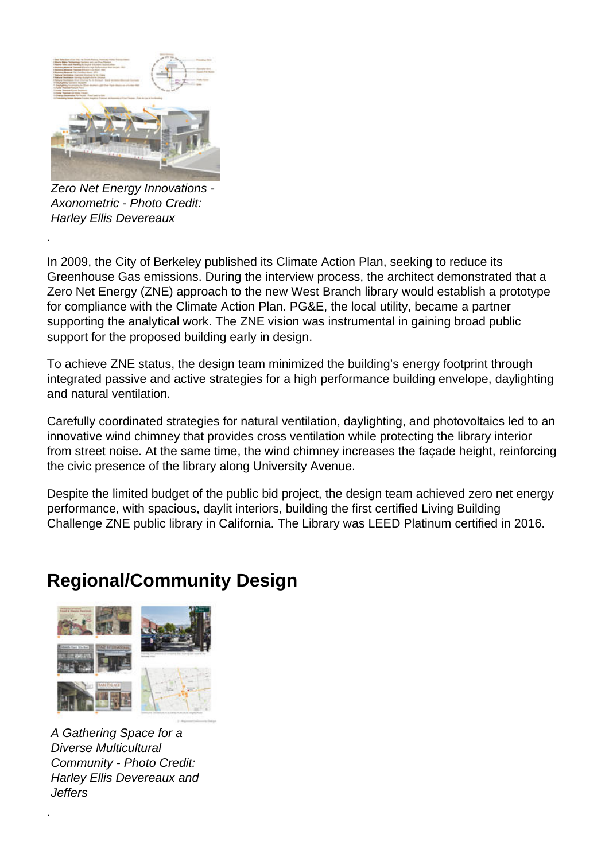

Zero Net Energy Innovations - Axonometric - Photo Credit: Harley Ellis Devereaux

.

In 2009, the City of Berkeley published its Climate Action Plan, seeking to reduce its Greenhouse Gas emissions. During the interview process, the architect demonstrated that a Zero Net Energy (ZNE) approach to the new West Branch library would establish a prototype for compliance with the Climate Action Plan. PG&E, the local utility, became a partner supporting the analytical work. The ZNE vision was instrumental in gaining broad public support for the proposed building early in design.

To achieve ZNE status, the design team minimized the building's energy footprint through integrated passive and active strategies for a high performance building envelope, daylighting and natural ventilation.

Carefully coordinated strategies for natural ventilation, daylighting, and photovoltaics led to an innovative wind chimney that provides cross ventilation while protecting the library interior from street noise. At the same time, the wind chimney increases the façade height, reinforcing the civic presence of the library along University Avenue.

Despite the limited budget of the public bid project, the design team achieved zero net energy performance, with spacious, daylit interiors, building the first certified Living Building Challenge ZNE public library in California. The Library was LEED Platinum certified in 2016.

## **Regional/Community Design**



A Gathering Space for a Diverse Multicultural Community - Photo Credit: Harley Ellis Devereaux and *Jeffers* 

.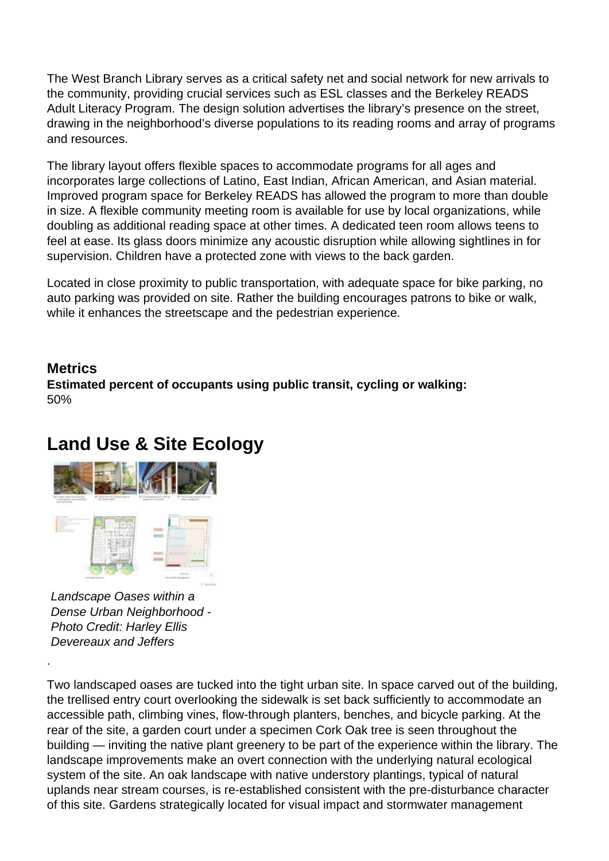The West Branch Library serves as a critical safety net and social network for new arrivals to the community, providing crucial services such as ESL classes and the Berkeley READS Adult Literacy Program. The design solution advertises the library's presence on the street, drawing in the neighborhood's diverse populations to its reading rooms and array of programs and resources.

The library layout offers flexible spaces to accommodate programs for all ages and incorporates large collections of Latino, East Indian, African American, and Asian material. Improved program space for Berkeley READS has allowed the program to more than double in size. A flexible community meeting room is available for use by local organizations, while doubling as additional reading space at other times. A dedicated teen room allows teens to feel at ease. Its glass doors minimize any acoustic disruption while allowing sightlines in for supervision. Children have a protected zone with views to the back garden.

Located in close proximity to public transportation, with adequate space for bike parking, no auto parking was provided on site. Rather the building encourages patrons to bike or walk, while it enhances the streetscape and the pedestrian experience.

#### **Metrics**

.

**Estimated percent of occupants using public transit, cycling or walking:**  50%

## **Land Use & Site Ecology**



Landscape Oases within a Dense Urban Neighborhood - Photo Credit: Harley Ellis Devereaux and Jeffers

Two landscaped oases are tucked into the tight urban site. In space carved out of the building, the trellised entry court overlooking the sidewalk is set back sufficiently to accommodate an accessible path, climbing vines, flow-through planters, benches, and bicycle parking. At the rear of the site, a garden court under a specimen Cork Oak tree is seen throughout the building — inviting the native plant greenery to be part of the experience within the library. The landscape improvements make an overt connection with the underlying natural ecological system of the site. An oak landscape with native understory plantings, typical of natural uplands near stream courses, is re-established consistent with the pre-disturbance character of this site. Gardens strategically located for visual impact and stormwater management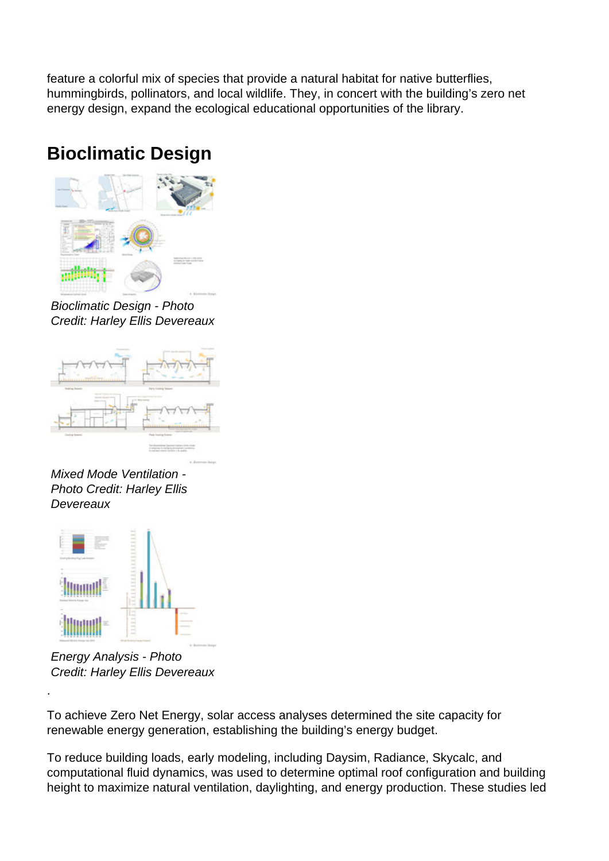feature a colorful mix of species that provide a natural habitat for native butterflies, hummingbirds, pollinators, and local wildlife. They, in concert with the building's zero net energy design, expand the ecological educational opportunities of the library.

# **Bioclimatic Design**



Bioclimatic Design - Photo Credit: Harley Ellis Devereaux



Mixed Mode Ventilation - Photo Credit: Harley Ellis **Devereaux** 



Energy Analysis - Photo Credit: Harley Ellis Devereaux

.

To achieve Zero Net Energy, solar access analyses determined the site capacity for renewable energy generation, establishing the building's energy budget.

To reduce building loads, early modeling, including Daysim, Radiance, Skycalc, and computational fluid dynamics, was used to determine optimal roof configuration and building height to maximize natural ventilation, daylighting, and energy production. These studies led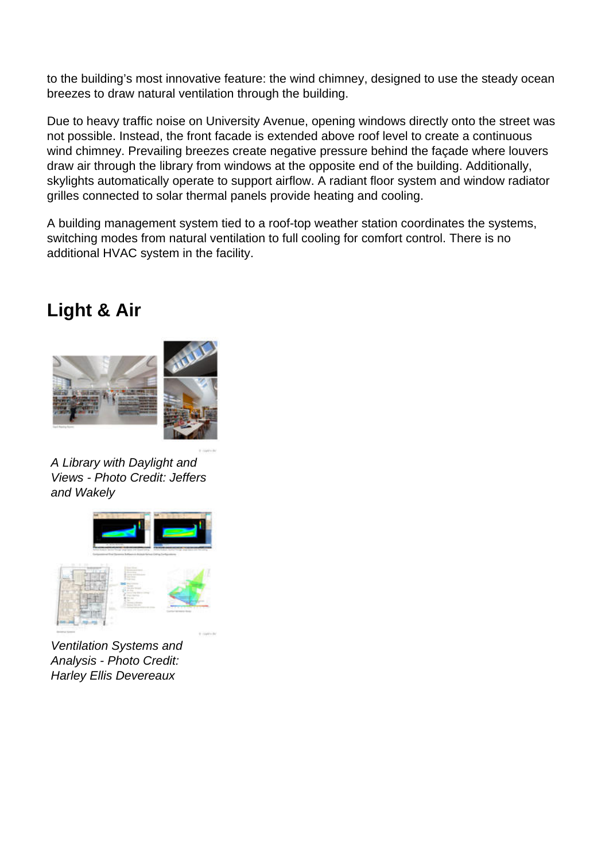to the building's most innovative feature: the wind chimney, designed to use the steady ocean breezes to draw natural ventilation through the building.

Due to heavy traffic noise on University Avenue, opening windows directly onto the street was not possible. Instead, the front facade is extended above roof level to create a continuous wind chimney. Prevailing breezes create negative pressure behind the façade where louvers draw air through the library from windows at the opposite end of the building. Additionally, skylights automatically operate to support airflow. A radiant floor system and window radiator grilles connected to solar thermal panels provide heating and cooling.

A building management system tied to a roof-top weather station coordinates the systems, switching modes from natural ventilation to full cooling for comfort control. There is no additional HVAC system in the facility.

### **Light & Air**



A Library with Daylight and Views - Photo Credit: Jeffers and Wakely



Ventilation Systems and Analysis - Photo Credit: Harley Ellis Devereaux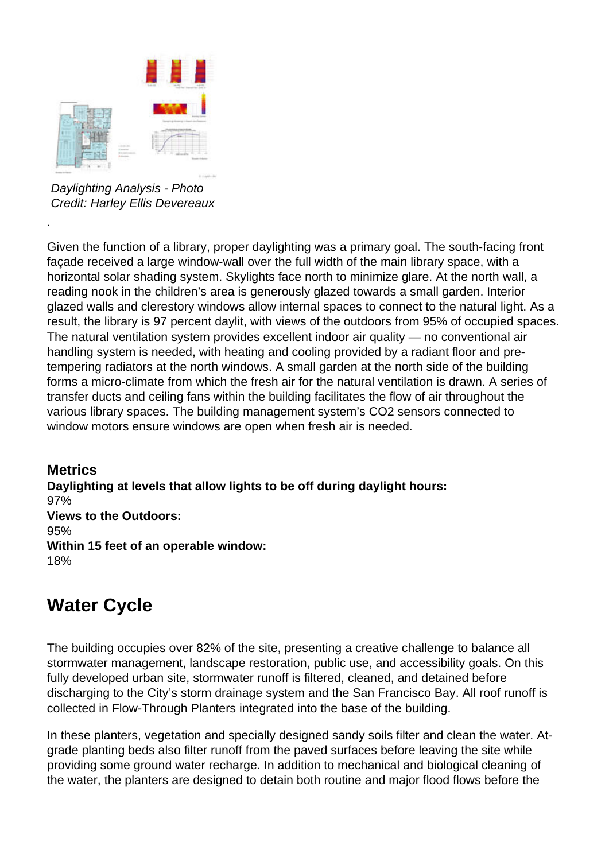

Daylighting Analysis - Photo Credit: Harley Ellis Devereaux

.

Given the function of a library, proper daylighting was a primary goal. The south-facing front façade received a large window-wall over the full width of the main library space, with a horizontal solar shading system. Skylights face north to minimize glare. At the north wall, a reading nook in the children's area is generously glazed towards a small garden. Interior glazed walls and clerestory windows allow internal spaces to connect to the natural light. As a result, the library is 97 percent daylit, with views of the outdoors from 95% of occupied spaces. The natural ventilation system provides excellent indoor air quality — no conventional air handling system is needed, with heating and cooling provided by a radiant floor and pretempering radiators at the north windows. A small garden at the north side of the building forms a micro-climate from which the fresh air for the natural ventilation is drawn. A series of transfer ducts and ceiling fans within the building facilitates the flow of air throughout the various library spaces. The building management system's CO2 sensors connected to window motors ensure windows are open when fresh air is needed.

**Metrics Daylighting at levels that allow lights to be off during daylight hours:**  97% **Views to the Outdoors:**  95% **Within 15 feet of an operable window:**  18%

# **Water Cycle**

The building occupies over 82% of the site, presenting a creative challenge to balance all stormwater management, landscape restoration, public use, and accessibility goals. On this fully developed urban site, stormwater runoff is filtered, cleaned, and detained before discharging to the City's storm drainage system and the San Francisco Bay. All roof runoff is collected in Flow-Through Planters integrated into the base of the building.

In these planters, vegetation and specially designed sandy soils filter and clean the water. Atgrade planting beds also filter runoff from the paved surfaces before leaving the site while providing some ground water recharge. In addition to mechanical and biological cleaning of the water, the planters are designed to detain both routine and major flood flows before the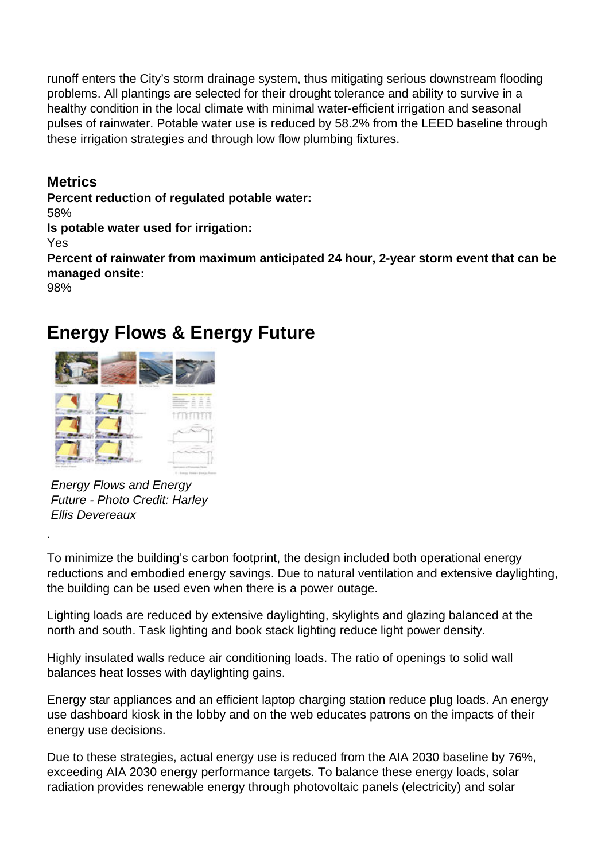runoff enters the City's storm drainage system, thus mitigating serious downstream flooding problems. All plantings are selected for their drought tolerance and ability to survive in a healthy condition in the local climate with minimal water-efficient irrigation and seasonal pulses of rainwater. Potable water use is reduced by 58.2% from the LEED baseline through these irrigation strategies and through low flow plumbing fixtures.

**Metrics**

**Percent reduction of regulated potable water:** 

58%

**Is potable water used for irrigation:** 

Yes

**Percent of rainwater from maximum anticipated 24 hour, 2-year storm event that can be managed onsite:** 

98%

.

## **Energy Flows & Energy Future**



Energy Flows and Energy Future - Photo Credit: Harley Ellis Devereaux

To minimize the building's carbon footprint, the design included both operational energy reductions and embodied energy savings. Due to natural ventilation and extensive daylighting, the building can be used even when there is a power outage.

Lighting loads are reduced by extensive daylighting, skylights and glazing balanced at the north and south. Task lighting and book stack lighting reduce light power density.

Highly insulated walls reduce air conditioning loads. The ratio of openings to solid wall balances heat losses with daylighting gains.

Energy star appliances and an efficient laptop charging station reduce plug loads. An energy use dashboard kiosk in the lobby and on the web educates patrons on the impacts of their energy use decisions.

Due to these strategies, actual energy use is reduced from the AIA 2030 baseline by 76%, exceeding AIA 2030 energy performance targets. To balance these energy loads, solar radiation provides renewable energy through photovoltaic panels (electricity) and solar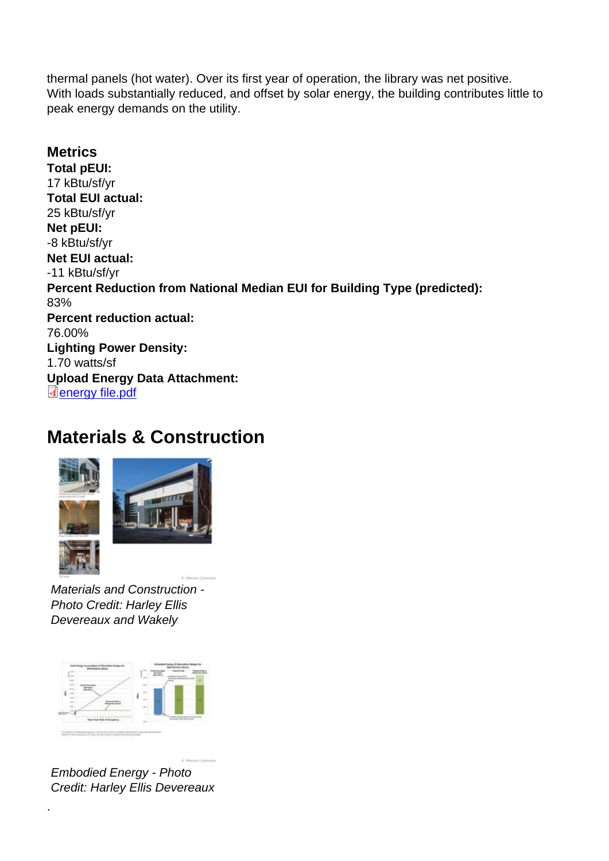thermal panels (hot water). Over its first year of operation, the library was net positive. With loads substantially reduced, and offset by solar energy, the building contributes little to peak energy demands on the utility.

**Metrics** Total pEUI: 17 kBtu/sf/yr Total EUI actual: 25 kBtu/sf/yr Net pEUI: -8 kBtu/sf/yr Net EUI actual: -11 kBtu/sf/yr Percent Reduction from National Median EUI for Building Type (predicted): 83% Percent reduction actual: 76.00% Lighting Power Density: 1.70 watts/sf Upload Energy Data Attachment: energy file.pdf

#### [Materials &](http://submit.aiatopten.org/sites/default/files/energy file.pdf) Construction

Materials and Construction - Photo Credit: Harley Ellis Devereaux and Wakely

Embodied Energy - Photo Credit: Harley Ellis Devereaux

.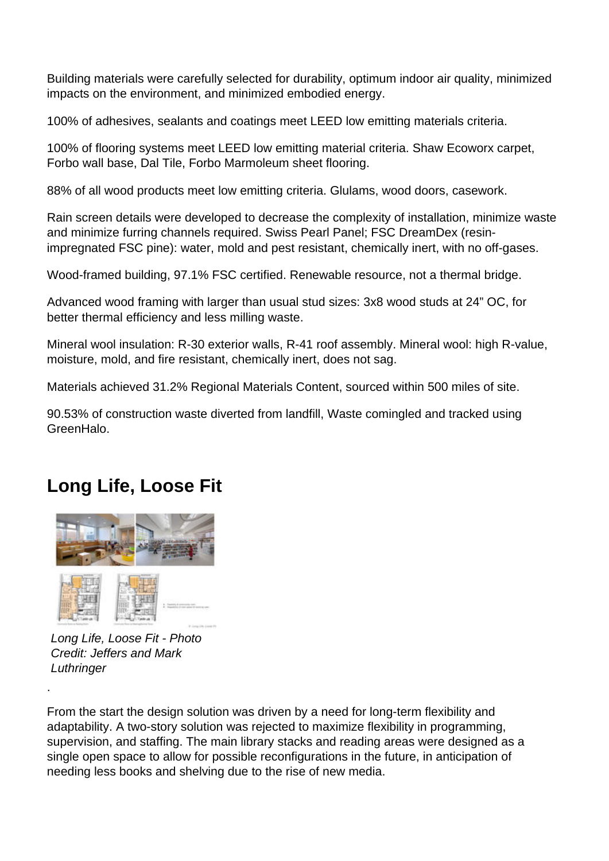Building materials were carefully selected for durability, optimum indoor air quality, minimized impacts on the environment, and minimized embodied energy.

100% of adhesives, sealants and coatings meet LEED low emitting materials criteria.

100% of flooring systems meet LEED low emitting material criteria. Shaw Ecoworx carpet, Forbo wall base, Dal Tile, Forbo Marmoleum sheet flooring.

88% of all wood products meet low emitting criteria. Glulams, wood doors, casework.

Rain screen details were developed to decrease the complexity of installation, minimize waste and minimize furring channels required. Swiss Pearl Panel; FSC DreamDex (resinimpregnated FSC pine): water, mold and pest resistant, chemically inert, with no off-gases.

Wood-framed building, 97.1% FSC certified. Renewable resource, not a thermal bridge.

Advanced wood framing with larger than usual stud sizes: 3x8 wood studs at 24" OC, for better thermal efficiency and less milling waste.

Mineral wool insulation: R-30 exterior walls, R-41 roof assembly. Mineral wool: high R-value, moisture, mold, and fire resistant, chemically inert, does not sag.

Materials achieved 31.2% Regional Materials Content, sourced within 500 miles of site.

90.53% of construction waste diverted from landfill, Waste comingled and tracked using GreenHalo.

## **Long Life, Loose Fit**



Long Life, Loose Fit - Photo Credit: Jeffers and Mark **Luthringer** 

.

From the start the design solution was driven by a need for long-term flexibility and adaptability. A two-story solution was rejected to maximize flexibility in programming, supervision, and staffing. The main library stacks and reading areas were designed as a single open space to allow for possible reconfigurations in the future, in anticipation of needing less books and shelving due to the rise of new media.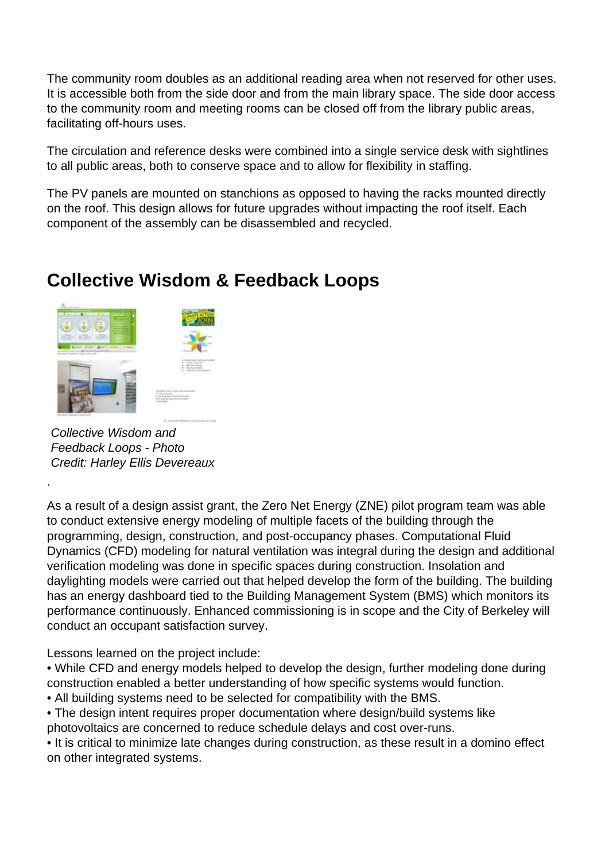The community room doubles as an additional reading area when not reserved for other uses. It is accessible both from the side door and from the main library space. The side door access to the community room and meeting rooms can be closed off from the library public areas, facilitating off-hours uses.

The circulation and reference desks were combined into a single service desk with sightlines to all public areas, both to conserve space and to allow for flexibility in staffing.

The PV panels are mounted on stanchions as opposed to having the racks mounted directly on the roof. This design allows for future upgrades without impacting the roof itself. Each component of the assembly can be disassembled and recycled.

### **Collective Wisdom & Feedback Loops**



Collective Wisdom and Feedback Loops - Photo Credit: Harley Ellis Devereaux

.

As a result of a design assist grant, the Zero Net Energy (ZNE) pilot program team was able to conduct extensive energy modeling of multiple facets of the building through the programming, design, construction, and post-occupancy phases. Computational Fluid Dynamics (CFD) modeling for natural ventilation was integral during the design and additional verification modeling was done in specific spaces during construction. Insolation and daylighting models were carried out that helped develop the form of the building. The building has an energy dashboard tied to the Building Management System (BMS) which monitors its performance continuously. Enhanced commissioning is in scope and the City of Berkeley will conduct an occupant satisfaction survey.

Lessons learned on the project include:

• While CFD and energy models helped to develop the design, further modeling done during construction enabled a better understanding of how specific systems would function.

• All building systems need to be selected for compatibility with the BMS.

• The design intent requires proper documentation where design/build systems like photovoltaics are concerned to reduce schedule delays and cost over-runs.

• It is critical to minimize late changes during construction, as these result in a domino effect on other integrated systems.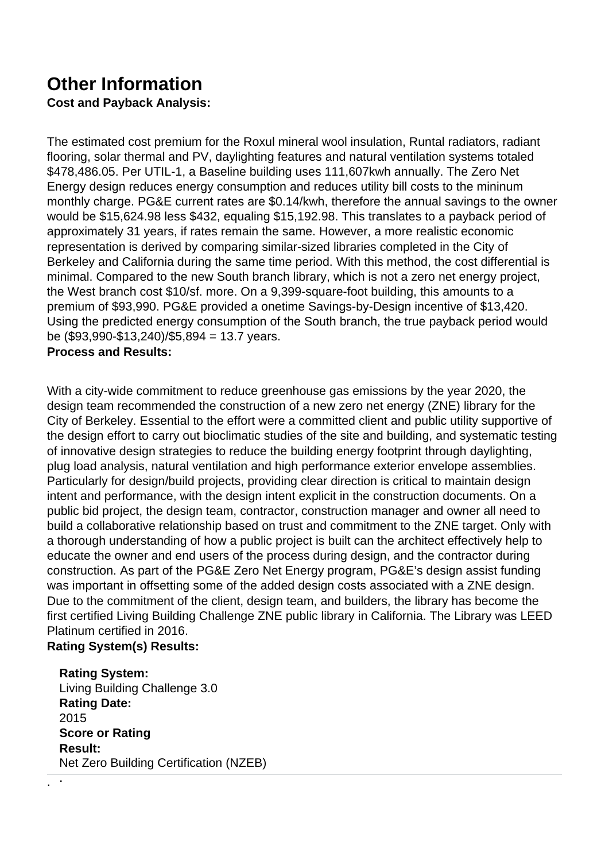## **Other Information**

**Cost and Payback Analysis:** 

The estimated cost premium for the Roxul mineral wool insulation, Runtal radiators, radiant flooring, solar thermal and PV, daylighting features and natural ventilation systems totaled \$478,486.05. Per UTIL-1, a Baseline building uses 111,607kwh annually. The Zero Net Energy design reduces energy consumption and reduces utility bill costs to the mininum monthly charge. PG&E current rates are \$0.14/kwh, therefore the annual savings to the owner would be \$15,624.98 less \$432, equaling \$15,192.98. This translates to a payback period of approximately 31 years, if rates remain the same. However, a more realistic economic representation is derived by comparing similar-sized libraries completed in the City of Berkeley and California during the same time period. With this method, the cost differential is minimal. Compared to the new South branch library, which is not a zero net energy project, the West branch cost \$10/sf. more. On a 9,399-square-foot building, this amounts to a premium of \$93,990. PG&E provided a onetime Savings-by-Design incentive of \$13,420. Using the predicted energy consumption of the South branch, the true payback period would be (\$93,990-\$13,240)/\$5,894 = 13.7 years.

#### **Process and Results:**

With a city-wide commitment to reduce greenhouse gas emissions by the year 2020, the design team recommended the construction of a new zero net energy (ZNE) library for the City of Berkeley. Essential to the effort were a committed client and public utility supportive of the design effort to carry out bioclimatic studies of the site and building, and systematic testing of innovative design strategies to reduce the building energy footprint through daylighting, plug load analysis, natural ventilation and high performance exterior envelope assemblies. Particularly for design/build projects, providing clear direction is critical to maintain design intent and performance, with the design intent explicit in the construction documents. On a public bid project, the design team, contractor, construction manager and owner all need to build a collaborative relationship based on trust and commitment to the ZNE target. Only with a thorough understanding of how a public project is built can the architect effectively help to educate the owner and end users of the process during design, and the contractor during construction. As part of the PG&E Zero Net Energy program, PG&E's design assist funding was important in offsetting some of the added design costs associated with a ZNE design. Due to the commitment of the client, design team, and builders, the library has become the first certified Living Building Challenge ZNE public library in California. The Library was LEED Platinum certified in 2016.

#### **Rating System(s) Results:**

. .

**Rating System:**  Living Building Challenge 3.0 **Rating Date:**  2015 **Score or Rating Result:**  Net Zero Building Certification (NZEB)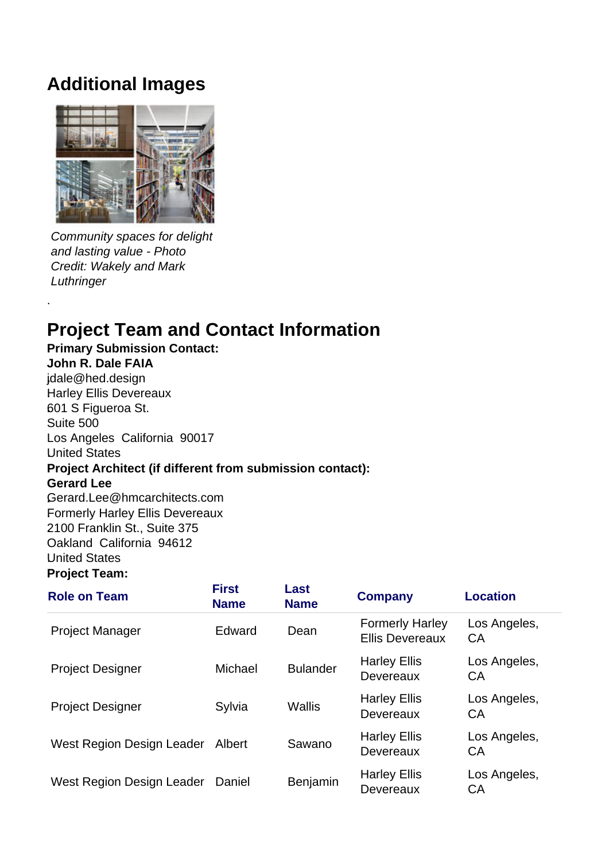#### **Additional Images**



Community spaces for delight and lasting value - Photo Credit: Wakely and Mark Luthringer

.

# **Project Team and Contact Information**

**Primary Submission Contact: John R. Dale FAIA .**jdale@hed.design .Harley Ellis Devereaux **.**601 S Figueroa St. Suite 500 Los Angeles California 90017 .United States **Project Architect (if different from submission contact): Gerard Lee .**Gerard.Lee@hmcarchitects.com .Formerly Harley Ellis Devereaux **.**2100 Franklin St., Suite 375 Oakland California 94612 .United States **Project Team:** 

| <b>Role on Team</b>       | <b>First</b><br><b>Name</b> | Last<br><b>Name</b> | <b>Company</b>                                   | <b>Location</b>    |
|---------------------------|-----------------------------|---------------------|--------------------------------------------------|--------------------|
| <b>Project Manager</b>    | Edward                      | Dean                | <b>Formerly Harley</b><br><b>Ellis Devereaux</b> | Los Angeles,<br>CA |
| <b>Project Designer</b>   | Michael                     | <b>Bulander</b>     | <b>Harley Ellis</b><br>Devereaux                 | Los Angeles,<br>CA |
| <b>Project Designer</b>   | Sylvia                      | Wallis              | <b>Harley Ellis</b><br>Devereaux                 | Los Angeles,<br>CA |
| West Region Design Leader | Albert                      | Sawano              | <b>Harley Ellis</b><br>Devereaux                 | Los Angeles,<br>CA |
| West Region Design Leader | Daniel                      | Benjamin            | <b>Harley Ellis</b><br>Devereaux                 | Los Angeles,<br>CA |